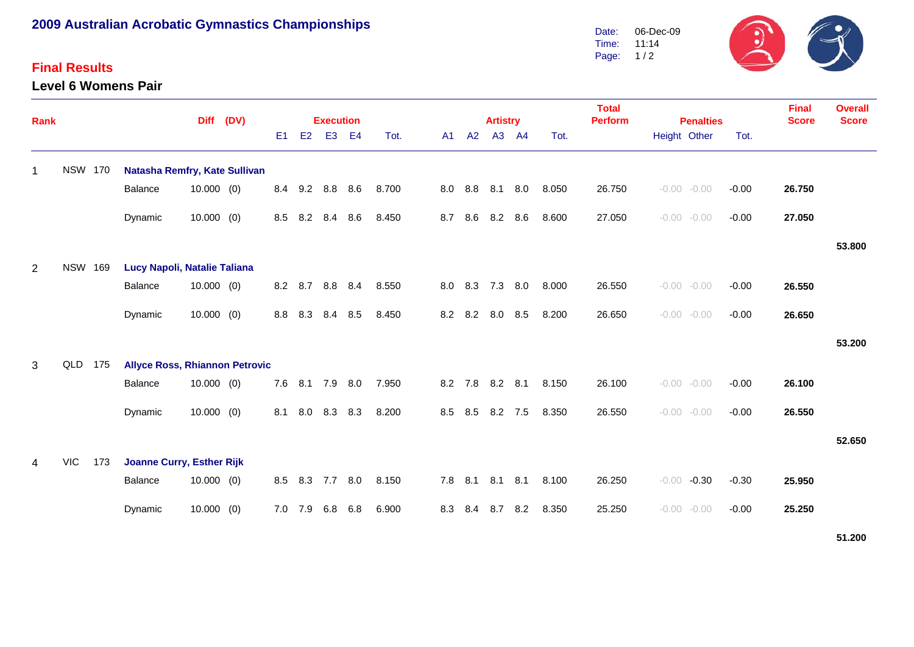## **2009 Australian Acrobatic Gymnastics Championships**

## **Final Results**

**Level 6 Womens Pair**



| Rank |                |     | <b>Diff</b>                           |              | (DV) | <b>Execution</b> |     |                |                |       |  |     |         | <b>Artistry</b> |     |       | <b>Total</b><br><b>Perform</b> | <b>Penalties</b>   |         | Final<br><b>Score</b> | <b>Overall</b><br><b>Score</b> |
|------|----------------|-----|---------------------------------------|--------------|------|------------------|-----|----------------|----------------|-------|--|-----|---------|-----------------|-----|-------|--------------------------------|--------------------|---------|-----------------------|--------------------------------|
|      |                |     |                                       |              |      | E <sub>1</sub>   | E2  | E <sub>3</sub> | E <sub>4</sub> | Tot.  |  | A1  | A2      | A3 A4           |     | Tot.  |                                | Height Other       | Tot.    |                       |                                |
| 1    | <b>NSW 170</b> |     | Natasha Remfry, Kate Sullivan         |              |      |                  |     |                |                |       |  |     |         |                 |     |       |                                |                    |         |                       |                                |
|      |                |     | Balance                               | $10.000$ (0) |      | 8.4              | 9.2 | 8.8            | 8.6            | 8.700 |  | 8.0 | 8.8     | 8.1             | 8.0 | 8.050 | 26.750                         | $-0.00 - 0.00$     | $-0.00$ | 26.750                |                                |
|      |                |     | Dynamic                               | $10.000$ (0) |      | 8.5              | 8.2 | 8.4            | 8.6            | 8.450 |  | 8.7 | 8.6     | 8.2             | 8.6 | 8.600 | 27.050                         | $-0.00 - 0.00$     | $-0.00$ | 27.050                |                                |
|      |                |     |                                       |              |      |                  |     |                |                |       |  |     |         |                 |     |       |                                |                    |         |                       | 53.800                         |
| 2    | <b>NSW 169</b> |     | Lucy Napoli, Natalie Taliana          |              |      |                  |     |                |                |       |  |     |         |                 |     |       |                                |                    |         |                       |                                |
|      |                |     | <b>Balance</b>                        | $10.000$ (0) |      | 8.2              | 8.7 | 8.8            | 8.4            | 8.550 |  | 8.0 | 8.3     | 7.3             | 8.0 | 8.000 | 26.550                         | $-0.00 - 0.00$     | $-0.00$ | 26.550                |                                |
|      |                |     | Dynamic                               | $10.000$ (0) |      | 8.8              | 8.3 | 8.4            | 8.5            | 8.450 |  | 8.2 | 8.2     | 8.0             | 8.5 | 8.200 | 26.650                         | $-0.00 - 0.00$     | $-0.00$ | 26.650                |                                |
|      |                |     |                                       |              |      |                  |     |                |                |       |  |     |         |                 |     |       |                                |                    |         |                       | 53.200                         |
| 3    | QLD            | 175 | <b>Allyce Ross, Rhiannon Petrovic</b> |              |      |                  |     |                |                |       |  |     |         |                 |     |       |                                |                    |         |                       |                                |
|      |                |     | <b>Balance</b>                        | $10.000$ (0) |      | 7.6              | 8.1 | 7.9            | 8.0            | 7.950 |  | 8.2 | 7.8     | $8.2$ $8.1$     |     | 8.150 | 26.100                         | $-0.00 - 0.00$     | $-0.00$ | 26.100                |                                |
|      |                |     | Dynamic                               | $10.000$ (0) |      | 8.1              | 8.0 | 8.3            | 8.3            | 8.200 |  | 8.5 | 8.5     | 8.2 7.5         |     | 8.350 | 26.550                         | $-0.00 - 0.00$     | $-0.00$ | 26.550                |                                |
|      |                |     |                                       |              |      |                  |     |                |                |       |  |     |         |                 |     |       |                                |                    |         |                       | 52.650                         |
| 4    | <b>VIC</b>     | 173 | <b>Joanne Curry, Esther Rijk</b>      |              |      |                  |     |                |                |       |  |     |         |                 |     |       |                                |                    |         |                       |                                |
|      |                |     | <b>Balance</b>                        | $10.000$ (0) |      | 8.5              | 8.3 | 7.7            | 8.0            | 8.150 |  |     | 7.8 8.1 | 8.1             | 8.1 | 8.100 | 26.250                         | $-0.30$<br>$-0.00$ | $-0.30$ | 25.950                |                                |
|      |                |     | Dynamic                               | $10.000$ (0) |      | 7.0              | 7.9 | 6.8            | 6.8            | 6.900 |  | 8.3 | 8.4     | 8.7             | 8.2 | 8.350 | 25.250                         | $-0.00$<br>$-0.00$ | $-0.00$ | 25.250                |                                |

**51.200**